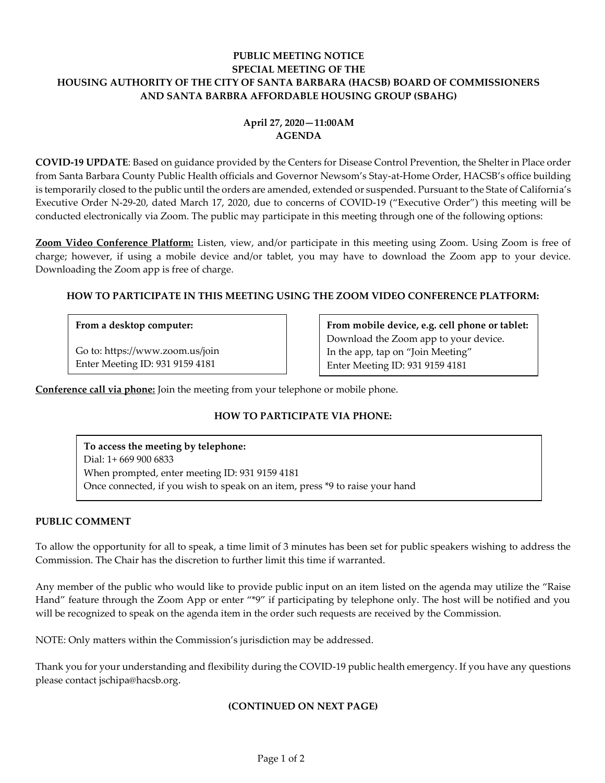## **PUBLIC MEETING NOTICE SPECIAL MEETING OF THE HOUSING AUTHORITY OF THE CITY OF SANTA BARBARA (HACSB) BOARD OF COMMISSIONERS AND SANTA BARBRA AFFORDABLE HOUSING GROUP (SBAHG)**

# **April 27, 2020—11:00AM AGENDA**

**COVID-19 UPDATE**: Based on guidance provided by the Centers for Disease Control Prevention, the Shelter in Place order from Santa Barbara County Public Health officials and Governor Newsom's Stay-at-Home Order, HACSB's office building is temporarily closed to the public until the orders are amended, extended or suspended. Pursuant to the State of California's Executive Order N-29-20, dated March 17, 2020, due to concerns of COVID-19 ("Executive Order") this meeting will be conducted electronically via Zoom. The public may participate in this meeting through one of the following options:

**Zoom Video Conference Platform:** Listen, view, and/or participate in this meeting using Zoom. Using Zoom is free of charge; however, if using a mobile device and/or tablet, you may have to download the Zoom app to your device. Downloading the Zoom app is free of charge.

### **HOW TO PARTICIPATE IN THIS MEETING USING THE ZOOM VIDEO CONFERENCE PLATFORM:**

#### **From a desktop computer:**

Go to: https://www.zoom.us/join Enter Meeting ID: 931 9159 4181

**From mobile device, e.g. cell phone or tablet:** Download the Zoom app to your device. In the app, tap on "Join Meeting" Enter Meeting ID: 931 9159 4181

**Conference call via phone:** Join the meeting from your telephone or mobile phone.

## **HOW TO PARTICIPATE VIA PHONE:**

**To access the meeting by telephone:** Dial: 1+ 669 900 6833 When prompted, enter meeting ID: 931 9159 4181 Once connected, if you wish to speak on an item, press \*9 to raise your hand

### **PUBLIC COMMENT**

To allow the opportunity for all to speak, a time limit of 3 minutes has been set for public speakers wishing to address the Commission. The Chair has the discretion to further limit this time if warranted.

Any member of the public who would like to provide public input on an item listed on the agenda may utilize the "Raise Hand" feature through the Zoom App or enter "\*9" if participating by telephone only. The host will be notified and you will be recognized to speak on the agenda item in the order such requests are received by the Commission.

NOTE: Only matters within the Commission's jurisdiction may be addressed.

Thank you for your understanding and flexibility during the COVID-19 public health emergency. If you have any questions please contact jschipa@hacsb.org.

### **(CONTINUED ON NEXT PAGE)**